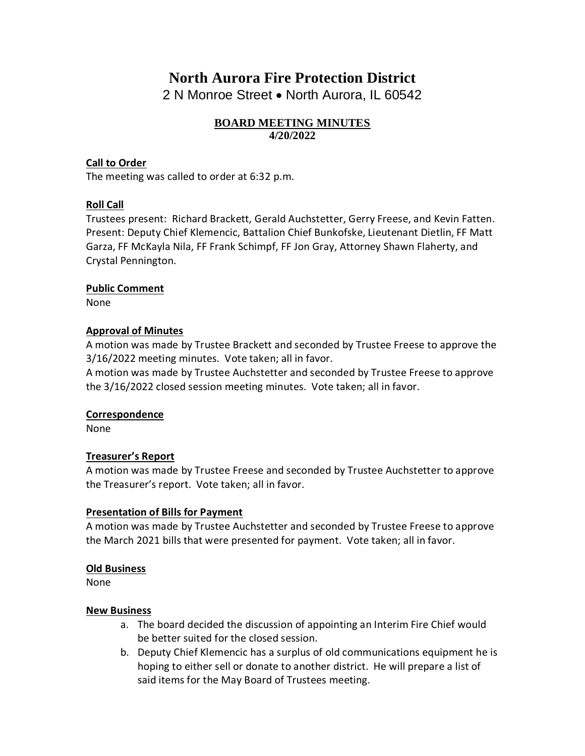# **North Aurora Fire Protection District**

2 N Monroe Street • North Aurora, IL 60542

## **BOARD MEETING MINUTES 4/20/2022**

## **Call to Order**

The meeting was called to order at 6:32 p.m.

## **Roll Call**

Trustees present: Richard Brackett, Gerald Auchstetter, Gerry Freese, and Kevin Fatten. Present: Deputy Chief Klemencic, Battalion Chief Bunkofske, Lieutenant Dietlin, FF Matt Garza, FF McKayla Nila, FF Frank Schimpf, FF Jon Gray, Attorney Shawn Flaherty, and Crystal Pennington.

#### **Public Comment**

None

#### **Approval of Minutes**

A motion was made by Trustee Brackett and seconded by Trustee Freese to approve the 3/16/2022 meeting minutes. Vote taken; all in favor.

A motion was made by Trustee Auchstetter and seconded by Trustee Freese to approve the 3/16/2022 closed session meeting minutes. Vote taken; all in favor.

#### **Correspondence**

None

#### **Treasurer's Report**

A motion was made by Trustee Freese and seconded by Trustee Auchstetter to approve the Treasurer's report. Vote taken; all in favor.

#### **Presentation of Bills for Payment**

A motion was made by Trustee Auchstetter and seconded by Trustee Freese to approve the March 2021 bills that were presented for payment. Vote taken; all in favor.

#### **Old Business**

None

#### **New Business**

- a. The board decided the discussion of appointing an Interim Fire Chief would be better suited for the closed session.
- b. Deputy Chief Klemencic has a surplus of old communications equipment he is hoping to either sell or donate to another district. He will prepare a list of said items for the May Board of Trustees meeting.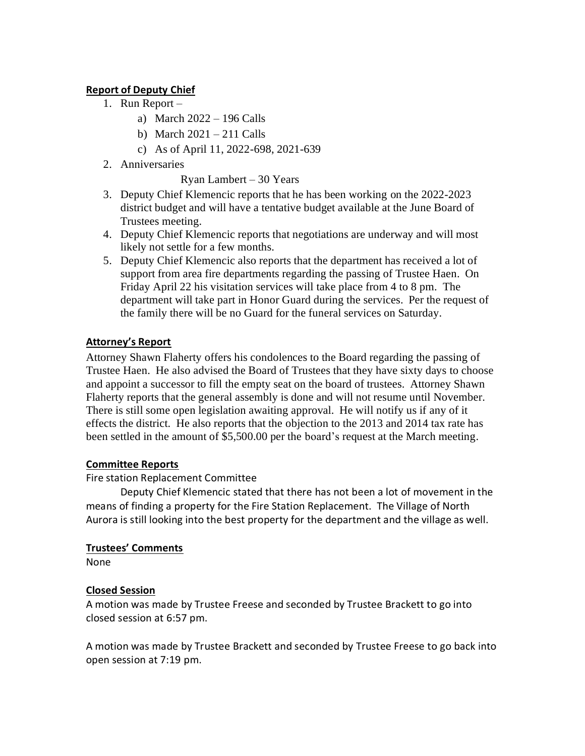## **Report of Deputy Chief**

- 1. Run Report
	- a) March 2022 196 Calls
	- b) March  $2021 211$  Calls
	- c) As of April 11, 2022-698, 2021-639
- 2. Anniversaries

Ryan Lambert – 30 Years

- 3. Deputy Chief Klemencic reports that he has been working on the 2022-2023 district budget and will have a tentative budget available at the June Board of Trustees meeting.
- 4. Deputy Chief Klemencic reports that negotiations are underway and will most likely not settle for a few months.
- 5. Deputy Chief Klemencic also reports that the department has received a lot of support from area fire departments regarding the passing of Trustee Haen. On Friday April 22 his visitation services will take place from 4 to 8 pm. The department will take part in Honor Guard during the services. Per the request of the family there will be no Guard for the funeral services on Saturday.

# **Attorney's Report**

Attorney Shawn Flaherty offers his condolences to the Board regarding the passing of Trustee Haen. He also advised the Board of Trustees that they have sixty days to choose and appoint a successor to fill the empty seat on the board of trustees. Attorney Shawn Flaherty reports that the general assembly is done and will not resume until November. There is still some open legislation awaiting approval. He will notify us if any of it effects the district. He also reports that the objection to the 2013 and 2014 tax rate has been settled in the amount of \$5,500.00 per the board's request at the March meeting.

# **Committee Reports**

Fire station Replacement Committee

Deputy Chief Klemencic stated that there has not been a lot of movement in the means of finding a property for the Fire Station Replacement. The Village of North Aurora is still looking into the best property for the department and the village as well.

# **Trustees' Comments**

None

# **Closed Session**

A motion was made by Trustee Freese and seconded by Trustee Brackett to go into closed session at 6:57 pm.

A motion was made by Trustee Brackett and seconded by Trustee Freese to go back into open session at 7:19 pm.